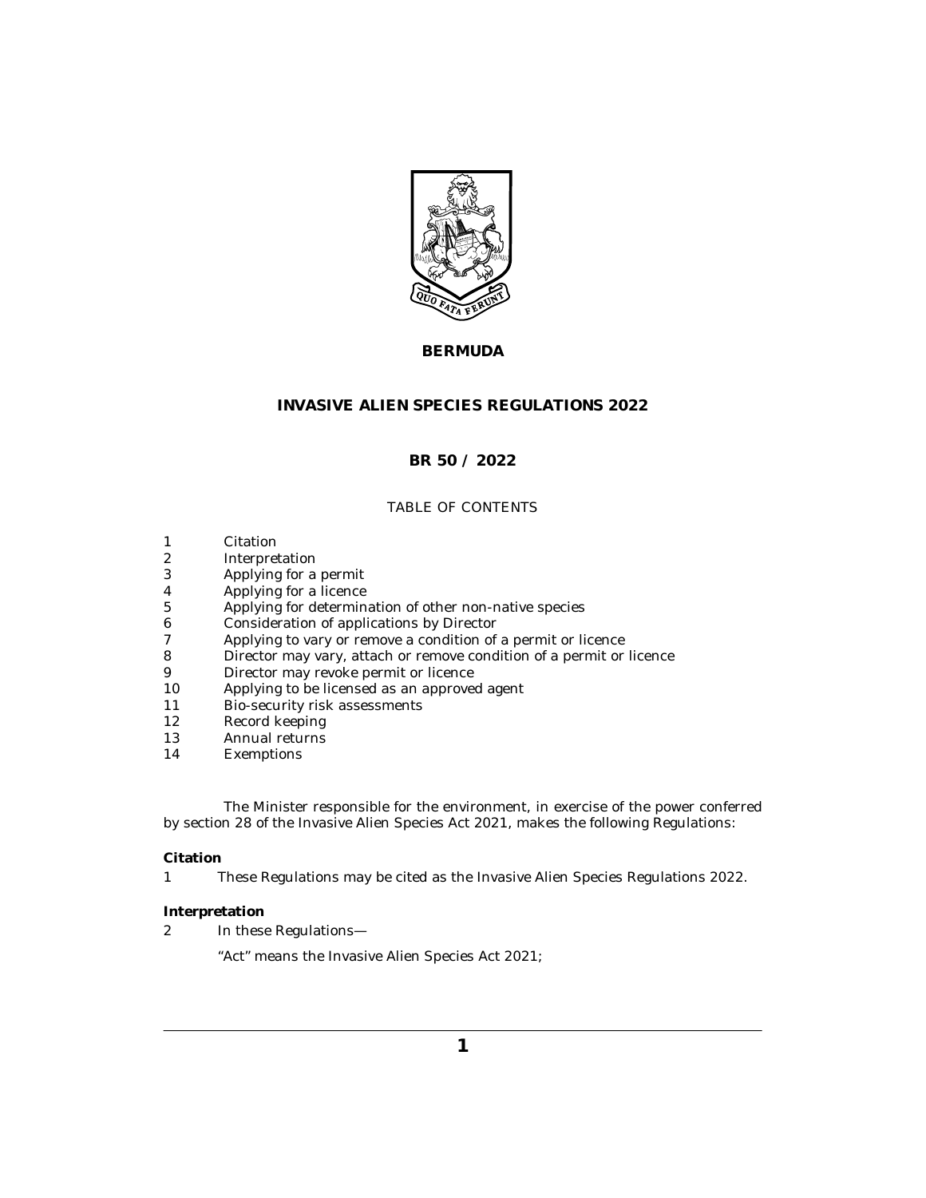

# **BERMUDA**

# **INVASIVE ALIEN SPECIES REGULATIONS 2022**

# **BR 50 / 2022**

# TABLE OF CONTENTS

- Citation 1
- Interpretation 2
- [Applying for a permit](#page-1-0) 3
- [Applying for a licence](#page-1-0) 4
- [Applying for determination of other non-native species](#page-1-0) 5
- [Consideration of applications by Director](#page-2-0) 6
- [Applying to vary or remove a condition of a permit or licence](#page-2-0) 7
- [Director may vary, attach or remove condition of a permit or licence](#page-3-0) 8
- [Director may revoke permit or licence](#page-3-0) 9
- [Applying to be licensed as an approved agent](#page-4-0) 10
- [Bio-security risk assessments](#page-5-0) 11
- [Record keeping](#page-7-0) 12
- [Annual returns](#page-7-0) 13
- [Exemptions](#page-7-0) 14

The Minister responsible for the environment, in exercise of the power conferred by section 28 of the Invasive Alien Species Act 2021, makes the following Regulations:

### **Citation**

These Regulations may be cited as the Invasive Alien Species Regulations 2022. 1

## **Interpretation**

In these Regulations— 2

"Act" means the Invasive Alien Species Act 2021;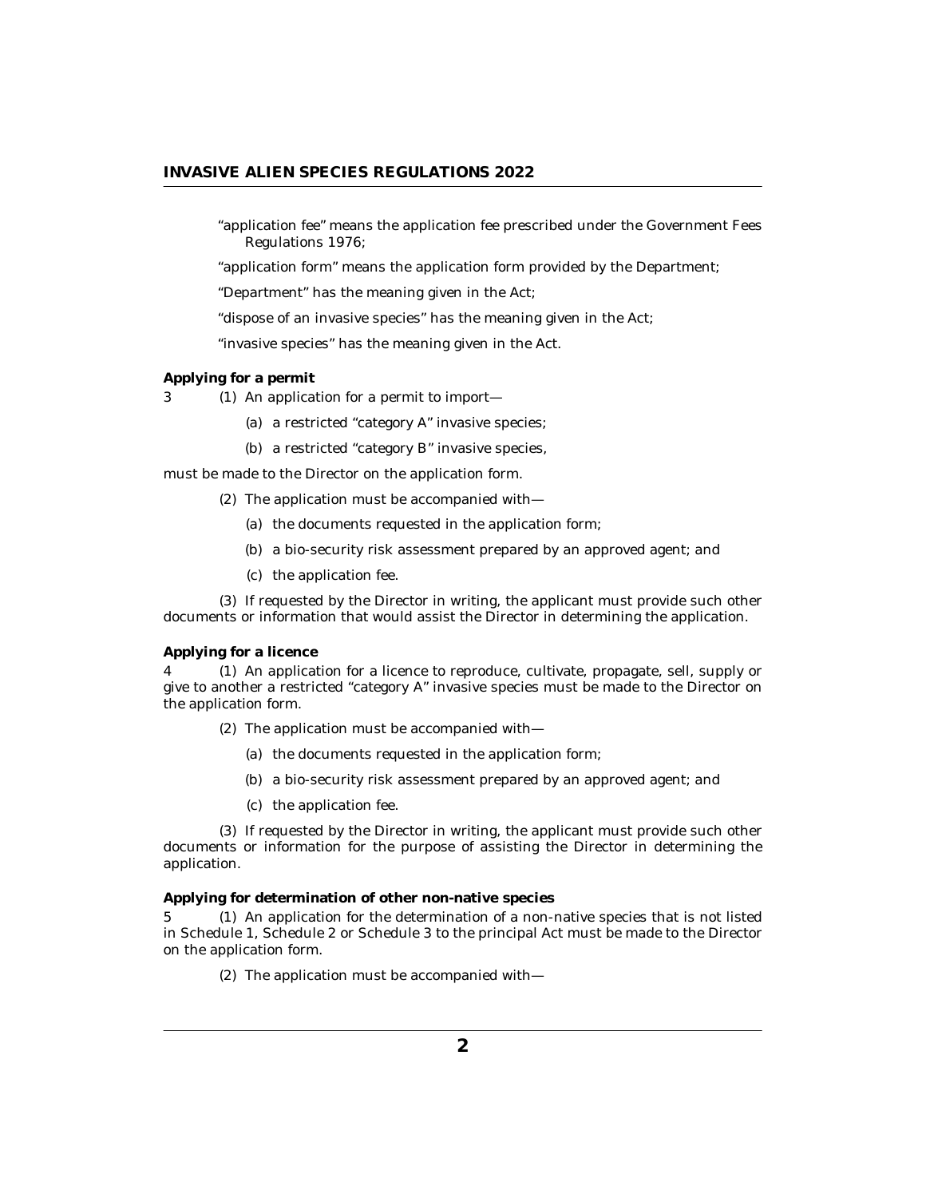<span id="page-1-0"></span>"application fee" means the application fee prescribed under the Government Fees Regulations 1976;

"application form" means the application form provided by the Department;

"Department" has the meaning given in the Act;

"dispose of an invasive species" has the meaning given in the Act;

"invasive species" has the meaning given in the Act.

**Applying for a permit**

3 (1) An application for a permit to import—

- (a) a restricted "category A" invasive species;
- (b) a restricted "category B" invasive species,

must be made to the Director on the application form.

- (2) The application must be accompanied with-
	- (a) the documents requested in the application form;
	- (b) a bio-security risk assessment prepared by an approved agent; and
	- (c) the application fee.

(3) If requested by the Director in writing, the applicant must provide such other documents or information that would assist the Director in determining the application.

**Applying for a licence**

An application for a licence to reproduce, cultivate, propagate, sell, supply or 4 (1) give to another a restricted "category A" invasive species must be made to the Director on the application form.

- (2) The application must be accompanied with-
	- (a) the documents requested in the application form;
	- (b) a bio-security risk assessment prepared by an approved agent; and
	- (c) the application fee.

(3) If requested by the Director in writing, the applicant must provide such other documents or information for the purpose of assisting the Director in determining the application.

**Applying for determination of other non-native species**

5 (1) An application for the determination of a non-native species that is not listed in Schedule 1, Schedule 2 or Schedule 3 to the principal Act must be made to the Director on the application form.

(2) The application must be accompanied with-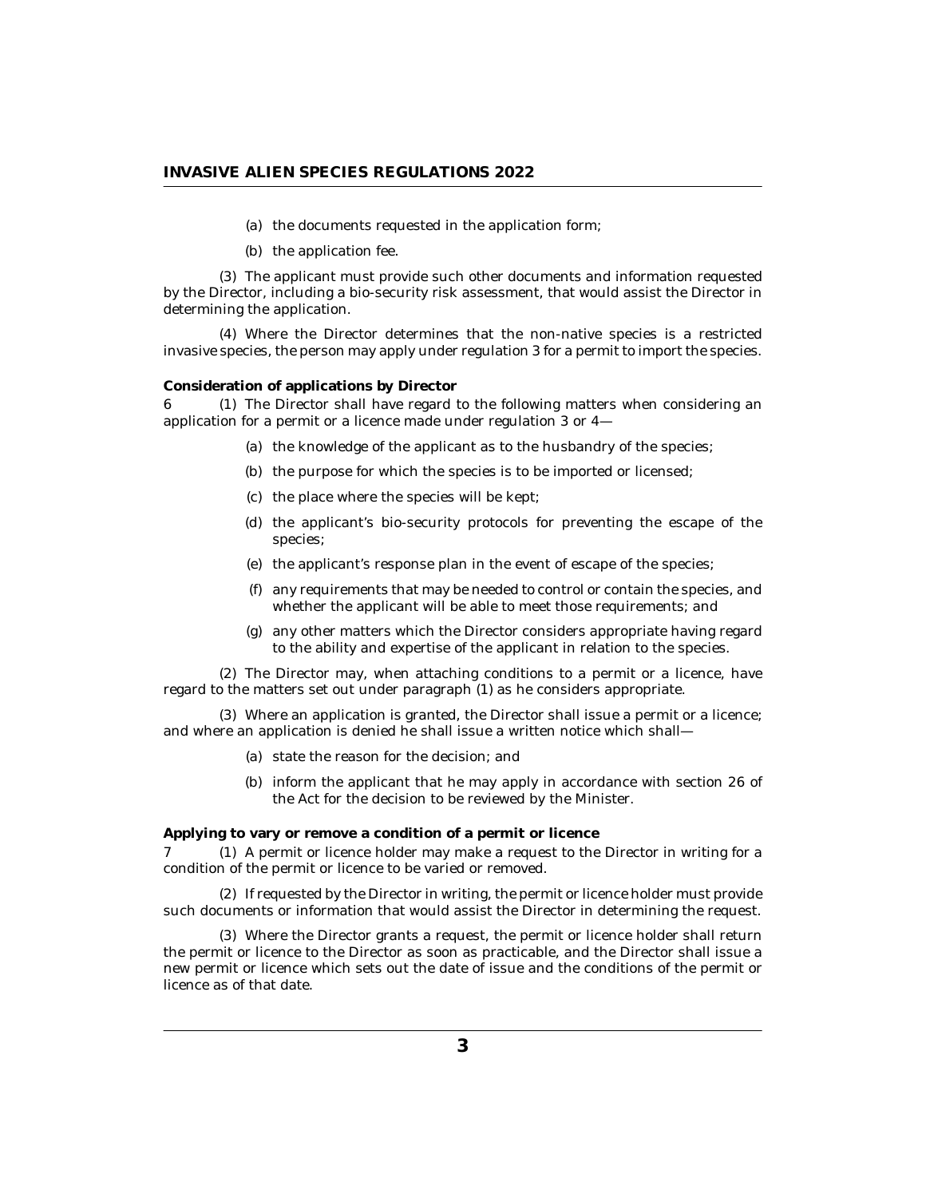- (a) the documents requested in the application form;
- (b) the application fee.

<span id="page-2-0"></span>The applicant must provide such other documents and information requested (3) by the Director, including a bio-security risk assessment, that would assist the Director in determining the application.

Where the Director determines that the non-native species is a restricted (4) invasive species, the person may apply under regulation 3 for a permit to import the species.

#### **Consideration of applications by Director**

6 (1) The Director shall have regard to the following matters when considering an application for a permit or a licence made under regulation 3 or 4—

- (a) the knowledge of the applicant as to the husbandry of the species;
- (b) the purpose for which the species is to be imported or licensed;
- (c) the place where the species will be kept;
- (d) the applicant's bio-security protocols for preventing the escape of the species;
- (e) the applicant's response plan in the event of escape of the species;
- any requirements that may be needed to control or contain the species, and (f) whether the applicant will be able to meet those requirements; and
- (g) any other matters which the Director considers appropriate having regard to the ability and expertise of the applicant in relation to the species.

The Director may, when attaching conditions to a permit or a licence, have (2) regard to the matters set out under paragraph (1) as he considers appropriate.

Where an application is granted, the Director shall issue a permit or a licence; (3) and where an application is denied he shall issue a written notice which shall—

- (a) state the reason for the decision; and
- (b) inform the applicant that he may apply in accordance with section 26 of the Act for the decision to be reviewed by the Minister.

**Applying to vary or remove a condition of a permit or licence**

7 (1) A permit or licence holder may make a request to the Director in writing for a condition of the permit or licence to be varied or removed.

(2) If requested by the Director in writing, the permit or licence holder must provide such documents or information that would assist the Director in determining the request.

Where the Director grants a request, the permit or licence holder shall return (3) the permit or licence to the Director as soon as practicable, and the Director shall issue a new permit or licence which sets out the date of issue and the conditions of the permit or licence as of that date.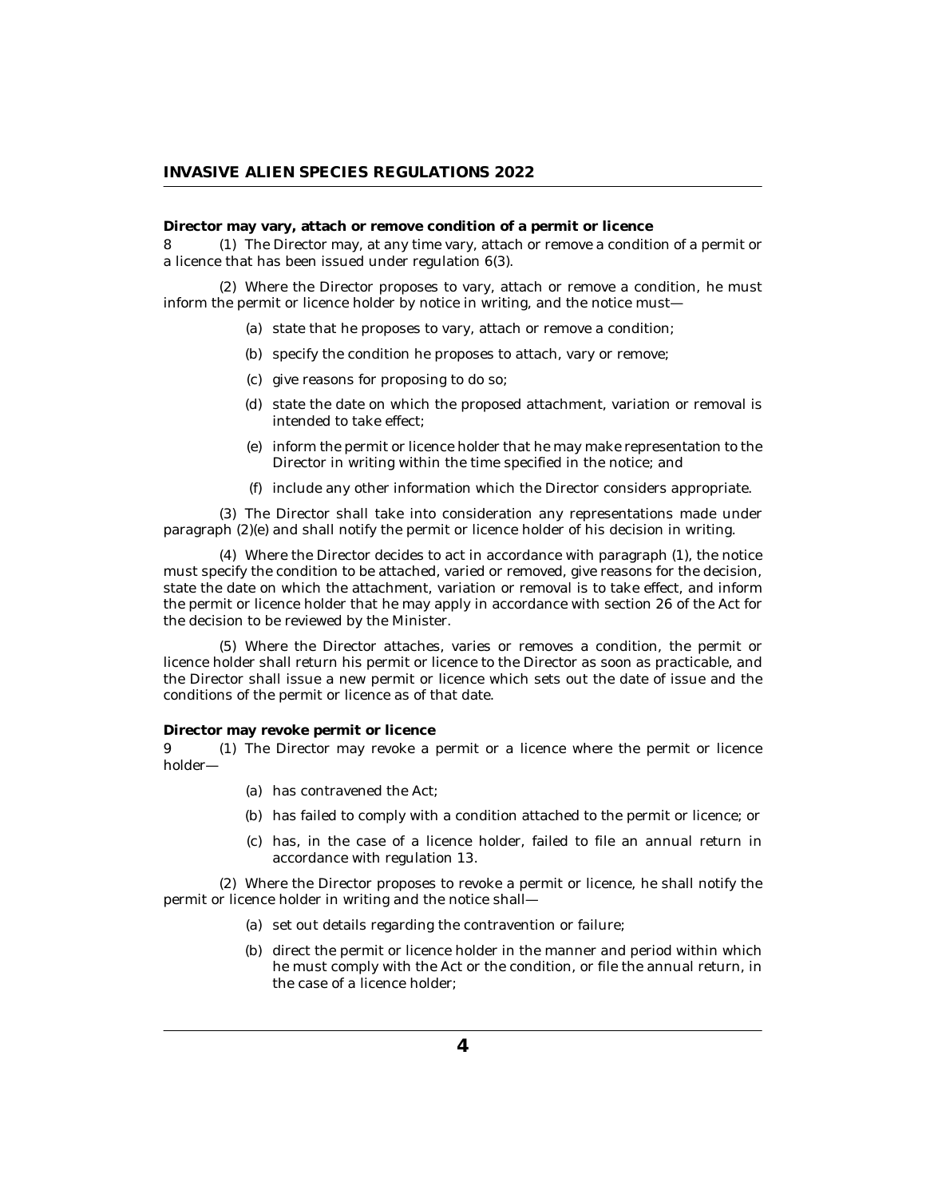<span id="page-3-0"></span>**Director may vary, attach or remove condition of a permit or licence**

8 (1) The Director may, at any time vary, attach or remove a condition of a permit or a licence that has been issued under regulation 6(3).

Where the Director proposes to vary, attach or remove a condition, he must (2) inform the permit or licence holder by notice in writing, and the notice must—

- (a) state that he proposes to vary, attach or remove a condition;
- (b) specify the condition he proposes to attach, vary or remove;
- give reasons for proposing to do so; (c)
- (d) state the date on which the proposed attachment, variation or removal is intended to take effect;
- inform the permit or licence holder that he may make representation to the (e) Director in writing within the time specified in the notice; and
- (f) include any other information which the Director considers appropriate.

The Director shall take into consideration any representations made under (3) paragraph (2)(e) and shall notify the permit or licence holder of his decision in writing.

Where the Director decides to act in accordance with paragraph (1), the notice (4) must specify the condition to be attached, varied or removed, give reasons for the decision, state the date on which the attachment, variation or removal is to take effect, and inform the permit or licence holder that he may apply in accordance with section 26 of the Act for the decision to be reviewed by the Minister.

Where the Director attaches, varies or removes a condition, the permit or (5) licence holder shall return his permit or licence to the Director as soon as practicable, and the Director shall issue a new permit or licence which sets out the date of issue and the conditions of the permit or licence as of that date.

**Director may revoke permit or licence**

9 (1) The Director may revoke a permit or a licence where the permit or licence holder—

- (a) has contravened the Act;
- (b) has failed to comply with a condition attached to the permit or licence; or
- has, in the case of a licence holder, failed to file an annual return in (c) accordance with regulation 13.

Where the Director proposes to revoke a permit or licence, he shall notify the (2) permit or licence holder in writing and the notice shall—

- (a) set out details regarding the contravention or failure;
- (b) direct the permit or licence holder in the manner and period within which he must comply with the Act or the condition, or file the annual return, in the case of a licence holder;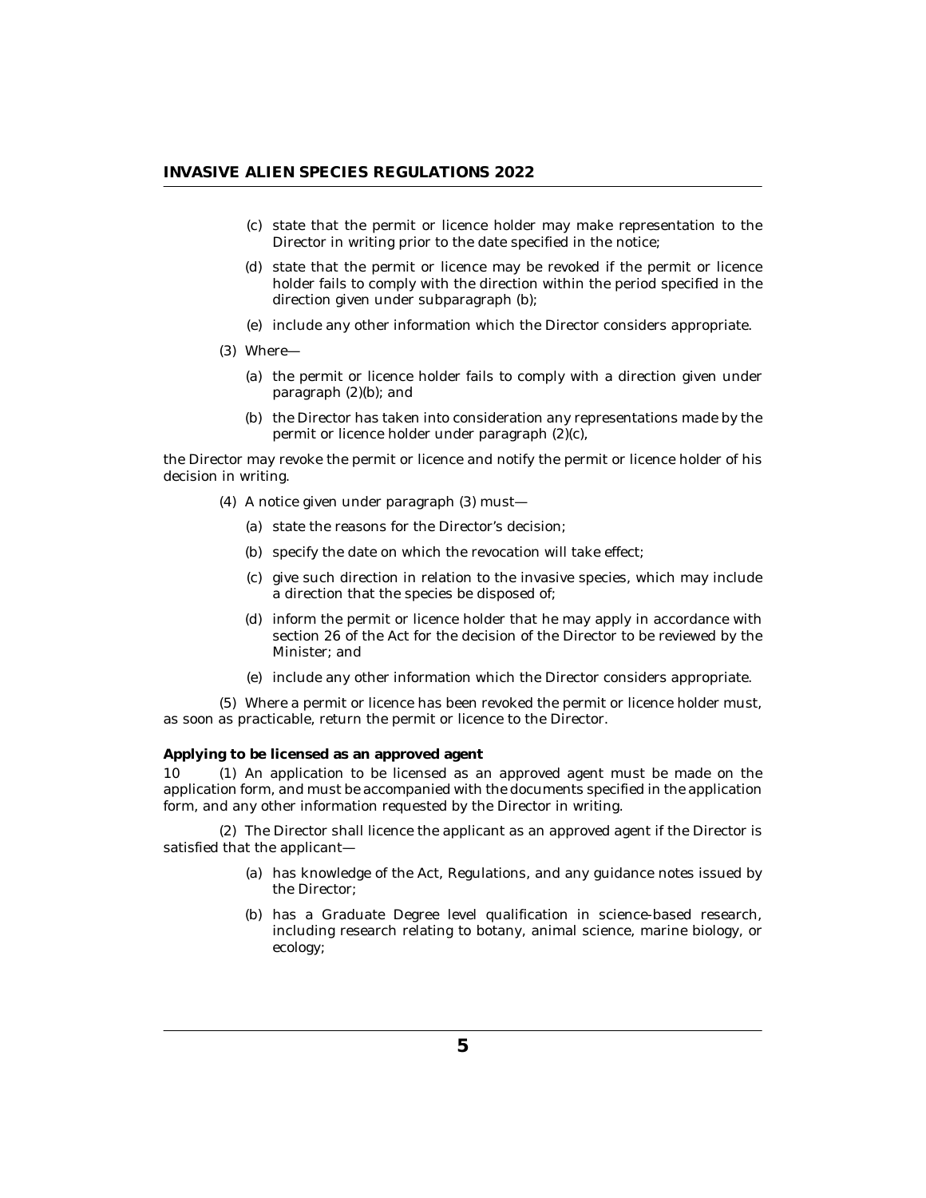- <span id="page-4-0"></span>(c) state that the permit or licence holder may make representation to the Director in writing prior to the date specified in the notice;
- (d) state that the permit or licence may be revoked if the permit or licence holder fails to comply with the direction within the period specified in the direction given under subparagraph (b);
- (e) include any other information which the Director considers appropriate.
- Where— (3)
	- (a) the permit or licence holder fails to comply with a direction given under paragraph (2)(b); and
	- (b) the Director has taken into consideration any representations made by the permit or licence holder under paragraph (2)(c),

the Director may revoke the permit or licence and notify the permit or licence holder of his decision in writing.

- A notice given under paragraph (3) must— (4)
	- (a) state the reasons for the Director's decision;
	- (b) specify the date on which the revocation will take effect;
	- (c) give such direction in relation to the invasive species, which may include a direction that the species be disposed of;
	- (d) inform the permit or licence holder that he may apply in accordance with section 26 of the Act for the decision of the Director to be reviewed by the Minister; and
	- (e) include any other information which the Director considers appropriate.

Where a permit or licence has been revoked the permit or licence holder must, (5) as soon as practicable, return the permit or licence to the Director.

**Applying to be licensed as an approved agent**

10 (1) An application to be licensed as an approved agent must be made on the application form, and must be accompanied with the documents specified in the application form, and any other information requested by the Director in writing.

The Director shall licence the applicant as an approved agent if the Director is (2) satisfied that the applicant—

- has knowledge of the Act, Regulations, and any guidance notes issued by (a) the Director;
- (b) has a Graduate Degree level qualification in science-based research, including research relating to botany, animal science, marine biology, or ecology;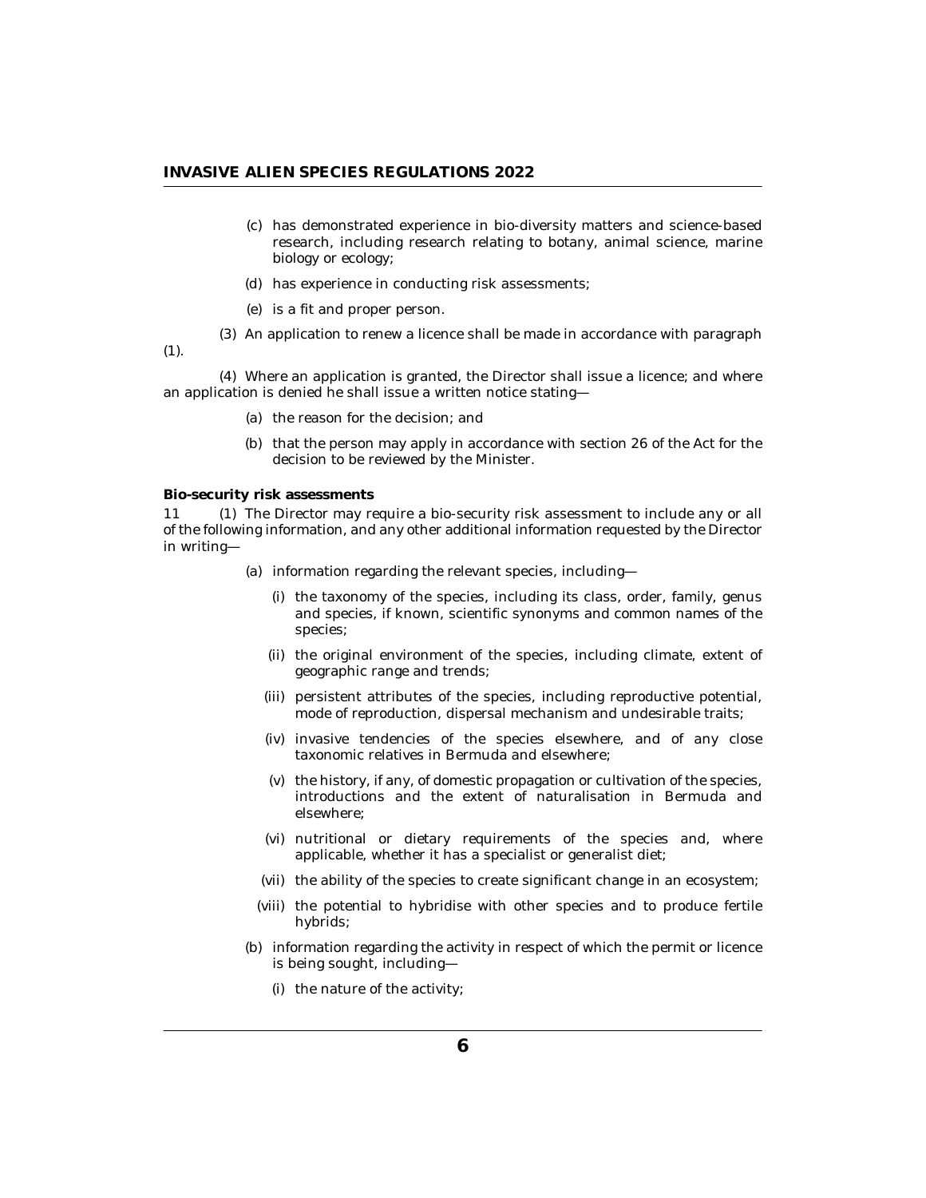- <span id="page-5-0"></span>has demonstrated experience in bio-diversity matters and science-based (c) research, including research relating to botany, animal science, marine biology or ecology;
- (d) has experience in conducting risk assessments;
- (e) is a fit and proper person.
- An application to renew a licence shall be made in accordance with paragraph (3)

(1).

Where an application is granted, the Director shall issue a licence; and where (4) an application is denied he shall issue a written notice stating—

- (a) the reason for the decision; and
- (b) that the person may apply in accordance with section 26 of the Act for the decision to be reviewed by the Minister.

**Bio-security risk assessments**

11 (1) The Director may require a bio-security risk assessment to include any or all of the following information, and any other additional information requested by the Director in writing—

- (a) information regarding the relevant species, including—
	- (i) the taxonomy of the species, including its class, order, family, genus and species, if known, scientific synonyms and common names of the species;
	- (ii) the original environment of the species, including climate, extent of geographic range and trends;
	- (iii) persistent attributes of the species, including reproductive potential, mode of reproduction, dispersal mechanism and undesirable traits;
	- (iv) invasive tendencies of the species elsewhere, and of any close taxonomic relatives in Bermuda and elsewhere;
	- (v) the history, if any, of domestic propagation or cultivation of the species, introductions and the extent of naturalisation in Bermuda and elsewhere;
	- nutritional or dietary requirements of the species and, where (vi) applicable, whether it has a specialist or generalist diet;
	- (vii) the ability of the species to create significant change in an ecosystem;
	- (viii) the potential to hybridise with other species and to produce fertile hybrids;
- (b) information regarding the activity in respect of which the permit or licence is being sought, including—
	- (i) the nature of the activity;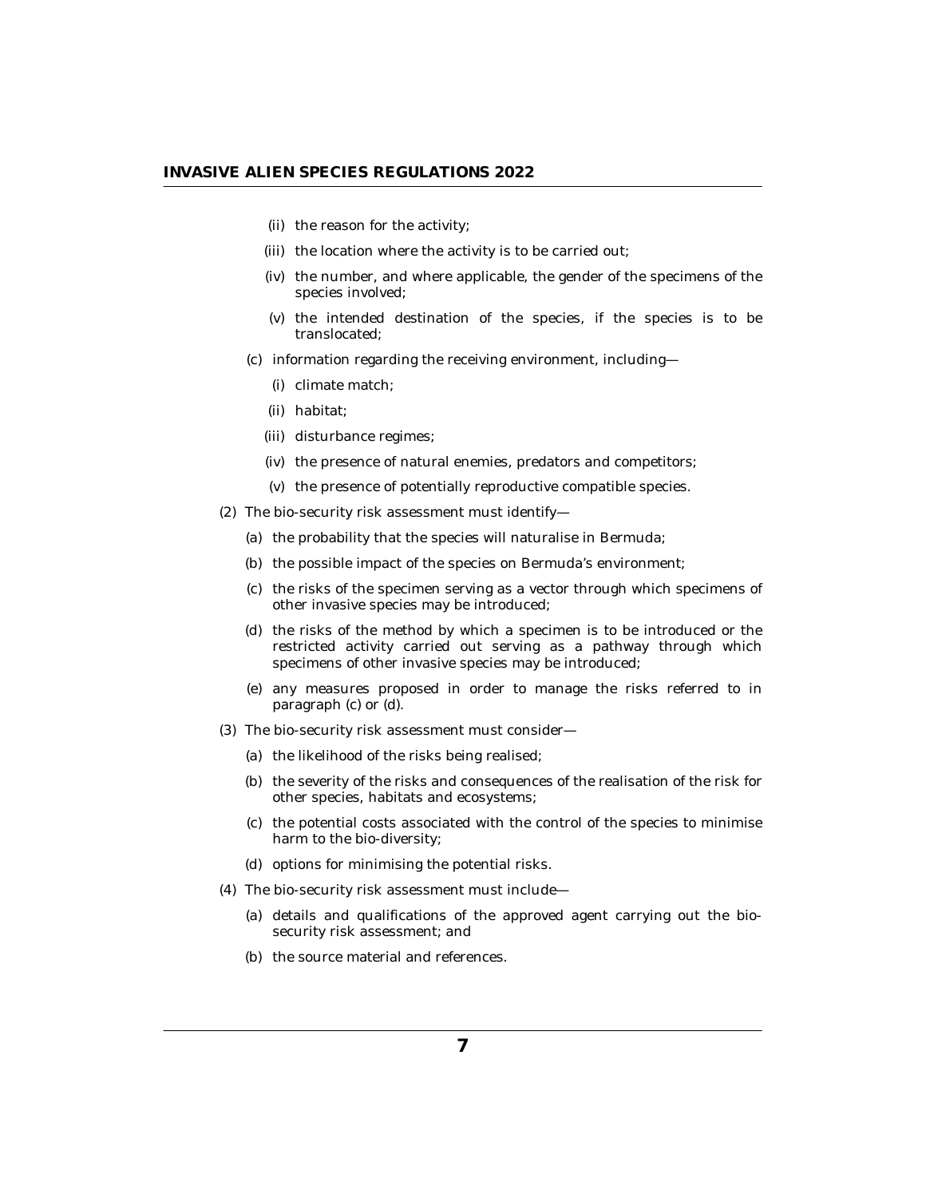- (ii) the reason for the activity;
- (iii) the location where the activity is to be carried out;
- (iv) the number, and where applicable, the gender of the specimens of the species involved;
- $(v)$  the intended destination of the species, if the species is to be translocated;
- (c) information regarding the receiving environment, including—
	- (i) climate match;
	- (ii) habitat;
	- disturbance regimes; (iii)
	- (iv) the presence of natural enemies, predators and competitors;
	- (v) the presence of potentially reproductive compatible species.
- (2) The bio-security risk assessment must identify-
	- (a) the probability that the species will naturalise in Bermuda;
	- (b) the possible impact of the species on Bermuda's environment;
	- (c) the risks of the specimen serving as a vector through which specimens of other invasive species may be introduced;
	- (d) the risks of the method by which a specimen is to be introduced or the restricted activity carried out serving as a pathway through which specimens of other invasive species may be introduced;
	- any measures proposed in order to manage the risks referred to in (e) paragraph (c) or (d).
- (3) The bio-security risk assessment must consider-
	- (a) the likelihood of the risks being realised;
	- (b) the severity of the risks and consequences of the realisation of the risk for other species, habitats and ecosystems;
	- (c) the potential costs associated with the control of the species to minimise harm to the bio-diversity;
	- (d) options for minimising the potential risks.
- (4) The bio-security risk assessment must include-
	- (a) details and qualifications of the approved agent carrying out the biosecurity risk assessment; and
	- (b) the source material and references.